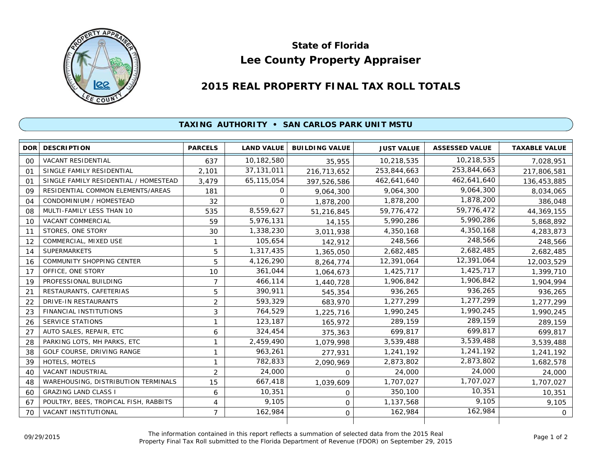

## **Lee County Property Appraiser State of Florida**

## **2015 REAL PROPERTY FINAL TAX ROLL TOTALS**

## **TAXING AUTHORITY • SAN CARLOS PARK UNIT MSTU**

| <b>DOR</b> | <b>DESCRIPTION</b>                    | <b>PARCELS</b> | <b>LAND VALUE</b> | <b>BUILDING VALUE</b> | <b>JUST VALUE</b> | <b>ASSESSED VALUE</b> | <b>TAXABLE VALUE</b> |
|------------|---------------------------------------|----------------|-------------------|-----------------------|-------------------|-----------------------|----------------------|
| 00         | VACANT RESIDENTIAL                    | 637            | 10,182,580        | 35,955                | 10,218,535        | 10,218,535            | 7,028,951            |
| 01         | SINGLE FAMILY RESIDENTIAL             | 2,101          | 37, 131, 011      | 216,713,652           | 253,844,663       | 253,844,663           | 217,806,581          |
| 01         | SINGLE FAMILY RESIDENTIAL / HOMESTEAD | 3,479          | 65,115,054        | 397,526,586           | 462,641,640       | 462,641,640           | 136,453,885          |
| 09         | RESIDENTIAL COMMON ELEMENTS/AREAS     | 181            | 0                 | 9,064,300             | 9,064,300         | 9,064,300             | 8,034,065            |
| 04         | CONDOMINIUM / HOMESTEAD               | 32             | $\Omega$          | 1,878,200             | 1,878,200         | 1,878,200             | 386,048              |
| 08         | MULTI-FAMILY LESS THAN 10             | 535            | 8,559,627         | 51,216,845            | 59,776,472        | 59,776,472            | 44,369,155           |
| 10         | <b>VACANT COMMERCIAL</b>              | 59             | 5,976,131         | 14,155                | 5,990,286         | 5,990,286             | 5,868,892            |
| 11         | STORES, ONE STORY                     | 30             | 1,338,230         | 3,011,938             | 4,350,168         | 4,350,168             | 4,283,873            |
| 12         | COMMERCIAL, MIXED USE                 | $\mathbf{1}$   | 105,654           | 142,912               | 248,566           | 248,566               | 248,566              |
| 14         | <b>SUPERMARKETS</b>                   | 5              | 1,317,435         | 1,365,050             | 2,682,485         | 2,682,485             | 2,682,485            |
| 16         | <b>COMMUNITY SHOPPING CENTER</b>      | 5              | 4,126,290         | 8,264,774             | 12,391,064        | 12,391,064            | 12,003,529           |
| 17         | OFFICE, ONE STORY                     | 10             | 361,044           | 1,064,673             | 1,425,717         | 1,425,717             | 1,399,710            |
| 19         | PROFESSIONAL BUILDING                 | $\overline{7}$ | 466,114           | 1,440,728             | 1,906,842         | 1,906,842             | 1,904,994            |
| 21         | RESTAURANTS, CAFETERIAS               | 5              | 390,911           | 545,354               | 936,265           | 936,265               | 936,265              |
| 22         | <b>DRIVE-IN RESTAURANTS</b>           | $\overline{2}$ | 593,329           | 683,970               | 1,277,299         | 1,277,299             | 1,277,299            |
| 23         | FINANCIAL INSTITUTIONS                | 3              | 764,529           | 1,225,716             | 1,990,245         | 1,990,245             | 1,990,245            |
| 26         | <b>SERVICE STATIONS</b>               | 1              | 123,187           | 165,972               | 289,159           | 289,159               | 289,159              |
| 27         | AUTO SALES, REPAIR, ETC               | 6              | 324,454           | 375,363               | 699,817           | 699,817               | 699,817              |
| 28         | PARKING LOTS, MH PARKS, ETC           | 1              | 2,459,490         | 1,079,998             | 3,539,488         | 3,539,488             | 3,539,488            |
| 38         | GOLF COURSE, DRIVING RANGE            | 1              | 963,261           | 277,931               | 1,241,192         | 1,241,192             | 1,241,192            |
| 39         | HOTELS, MOTELS                        | 1              | 782,833           | 2,090,969             | 2,873,802         | 2,873,802             | 1,682,578            |
| 40         | <b>VACANT INDUSTRIAL</b>              | $\overline{2}$ | 24,000            | $\Omega$              | 24,000            | 24,000                | 24,000               |
| 48         | WAREHOUSING, DISTRIBUTION TERMINALS   | 15             | 667,418           | 1,039,609             | 1,707,027         | 1,707,027             | 1,707,027            |
| 60         | <b>GRAZING LAND CLASS I</b>           | 6              | 10,351            | 0                     | 350,100           | 10,351                | 10,351               |
| 67         | POULTRY, BEES, TROPICAL FISH, RABBITS | 4              | 9,105             | $\mathbf 0$           | 1,137,568         | 9,105                 | 9,105                |
| 70         | <b>VACANT INSTITUTIONAL</b>           | $\overline{7}$ | 162,984           | $\mathbf 0$           | 162,984           | 162,984               | $\mathbf{O}$         |
|            |                                       |                |                   |                       |                   |                       |                      |

The information contained in this report reflects a summation of selected data from the 2015 Real Ine information contained in this report reflects a summation of selected data from the 2015 Real<br>Property Final Tax Roll submitted to the Florida Department of Revenue (FDOR) on September 29, 2015